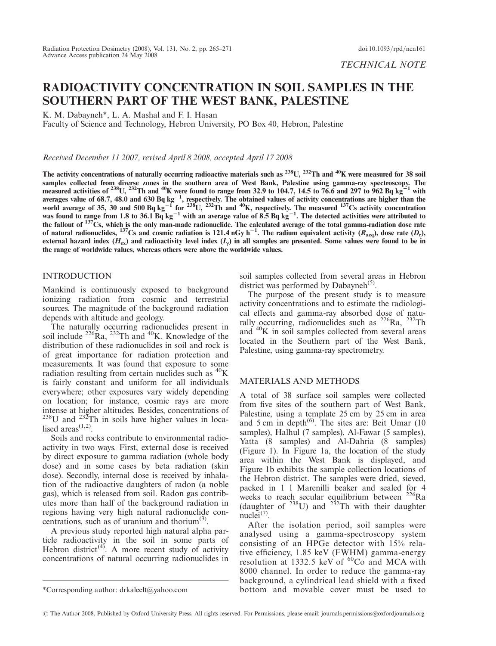# RADIOACTIVITY CONCENTRATION IN SOIL SAMPLES IN THE SOUTHERN PART OF THE WEST BANK, PALESTINE

K. M. Dabayneh\*, L. A. Mashal and F. I. Hasan

Faculty of Science and Technology, Hebron University, PO Box 40, Hebron, Palestine

Received December 11 2007, revised April 8 2008, accepted April 17 2008

The activity concentrations of naturally occurring radioactive materials such as  $^{238}$ U,  $^{232}$ Th and  $^{40}$ K were measured for 38 soil samples collected from diverse zones in the southern area of West Bank, Palestine using gamma-ray spectroscopy. The measured activities of <sup>238</sup>U, <sup>232</sup>Th and <sup>40</sup>K were found to range from 32.9 to 104.7, 14.5 to 76.6 and 297 to 962 Bq kg<sup>-1</sup> with averages value of 68.7, 48.0 and 630 Bq kg<sup>-1</sup>, respectively. The obtained values of activity concentrations are higher than the<br>world average of 35, 30 and 500 Bq kg<sup>-1</sup> for <sup>238</sup>U, <sup>232</sup>Th and <sup>40</sup>K, respectively. The me was found to range from 1.8 to 36.1 Bq  $kg^{-1}$  with an average value of 8.5 Bq  $kg^{-1}$ . The detected activities were attributed to the fallout of  $137\text{Cs}$ , which is the only man-made radionuclide. The calculated average of the total gamma-radiation dose rate of natural radionuclides, <sup>137</sup>Cs and cosmic radiation is 121.4 nGy h<sup>-1</sup>. The radium equivalent activity ( $R_{\text{aeq}}$ ), dose rate ( $D_r$ ), external hazard index  $(H_{ex})$  and radioactivity level index  $(I_{y})$  in all samples are presented. Some values were found to be in the range of worldwide values, whereas others were above the worldwide values.

# **INTRODUCTION**

Mankind is continuously exposed to background ionizing radiation from cosmic and terrestrial sources. The magnitude of the background radiation depends with altitude and geology.

The naturally occurring radionuclides present in soil include  $^{226}$ Ra,  $^{232}$ Th and  $^{40}$ K. Knowledge of the distribution of these radionuclides in soil and rock is of great importance for radiation protection and measurements. It was found that exposure to some radiation resulting from certain nuclides such as  ${}^{40}$ K is fairly constant and uniform for all individuals everywhere; other exposures vary widely depending on location; for instance, cosmic rays are more intense at higher altitudes. Besides, concentrations of  $238$ U and  $232$ Th in soils have higher values in localised areas $(1,2)$ .

Soils and rocks contribute to environmental radioactivity in two ways. First, external dose is received by direct exposure to gamma radiation (whole body dose) and in some cases by beta radiation (skin dose). Secondly, internal dose is received by inhalation of the radioactive daughters of radon (a noble gas), which is released from soil. Radon gas contributes more than half of the background radiation in regions having very high natural radionuclide concentrations, such as of uranium and thorium $(3)$  $(3)$  $(3)$ .

A previous study reported high natural alpha par-ticle radioactivity in the soil in some parts of Hebron district<sup>([4](#page-6-0))</sup>. A more recent study of activity concentrations of natural occurring radionuclides in soil samples collected from several areas in Hebron district was performed by Dabayneh<sup>[\(5\)](#page-6-0)</sup>.

The purpose of the present study is to measure activity concentrations and to estimate the radiological effects and gamma-ray absorbed dose of naturally occurring, radionuclides such as  $^{226}Ra$ ,  $^{232}Th$ and 40K in soil samples collected from several areas located in the Southern part of the West Bank, Palestine, using gamma-ray spectrometry.

## MATERIALS AND METHODS

A total of 38 surface soil samples were collected from five sites of the southern part of West Bank, Palestine, using a template 25 cm by 25 cm in area and 5 cm in depth $(6)$  $(6)$  $(6)$ . The sites are: Beit Umar (10) samples), Halhul (7 samples), Al-Fawar (5 samples), Yatta (8 samples) and Al-Dahria (8 samples) (Figure [1](#page-1-0)). In Figure [1a](#page-1-0), the location of the study area within the West Bank is displayed, and Figure [1](#page-1-0)b exhibits the sample collection locations of the Hebron district. The samples were dried, sieved, packed in 1 l Marenilli beaker and sealed for 4 weeks to reach secular equilibrium between <sup>226</sup>Ra (daughter of  $^{238}$ U) and  $^{232}$ Th with their daughter nuclei $(7)$  $(7)$  $(7)$ .

After the isolation period, soil samples were analysed using a gamma-spectroscopy system consisting of an HPGe detector with 15% relative efficiency, 1.85 keV (FWHM) gamma-energy resolution at 1332.5 keV of  ${}^{60}Co$  and MCA with 8000 channel. In order to reduce the gamma-ray background, a cylindrical lead shield with a fixed \*Corresponding author: drkaleelt@yahoo.com bottom and movable cover must be used to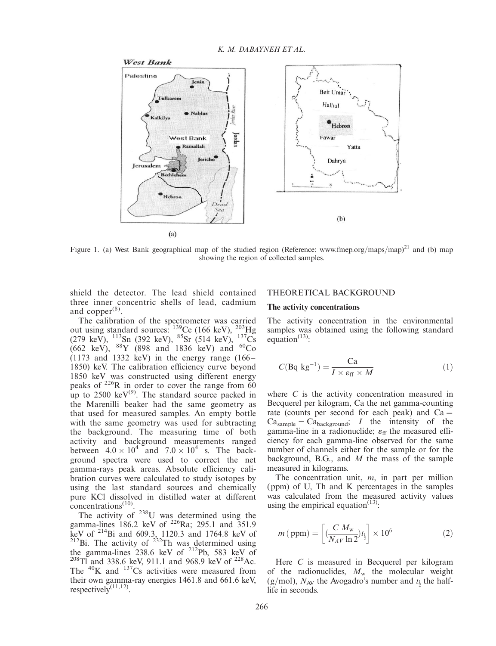<span id="page-1-0"></span>

Figure 1. (a) West Bank geographical map of the studied region (Reference: [www.fmep.org](www.fmep.org/maps/map)/maps/map)<sup>[21](#page-6-0)</sup> and (b) map showing the region of collected samples.

shield the detector. The lead shield contained three inner concentric shells of lead, cadmium and copper $(8)$  $(8)$ .

The calibration of the spectrometer was carried out using standard sources:  $^{139}$ Ce (166 keV),  $^{203}$ Hg (279 keV),  $^{113}$ Sn (392 keV),  $^{85}$ Sr (514 keV),  $^{137}$ Cs (662 keV),  ${}^{88}Y$  (898 and 1836 keV) and  ${}^{60}Co$  $(1173$  and 1332 keV) in the energy range  $(166 -$ 1850) keV. The calibration efficiency curve beyond 1850 keV was constructed using different energy peaks of  $^{226}$ R in order to cover the range from 60 up to  $2500 \text{ keV}^{(9)}$  $2500 \text{ keV}^{(9)}$  $2500 \text{ keV}^{(9)}$ . The standard source packed in the Marenilli beaker had the same geometry as that used for measured samples. An empty bottle with the same geometry was used for subtracting the background. The measuring time of both activity and background measurements ranged between  $4.0 \times 10^4$  and  $7.0 \times 10^4$  s. The background spectra were used to correct the net gamma-rays peak areas. Absolute efficiency calibration curves were calculated to study isotopes by using the last standard sources and chemically pure KCl dissolved in distilled water at different concentrations<sup>[\(10](#page-6-0))</sup>.

The activity of <sup>238</sup>U was determined using the gamma-lines 186.2 keV of  $^{226}$ Ra; 295.1 and 351.9 keV of <sup>214</sup>Bi and 609.3, 1120.3 and 1764.8 keV of <sup>212</sup>Bi. The activity of <sup>232</sup>Th was determined using the gamma-lines 238.6 keV of <sup>212</sup>Pb, 583 keV of <sup>208</sup>Tl and 338.6 keV, 911.1 and 968.9 keV of <sup>228</sup>Ac. The  ${}^{40}$ K and  ${}^{137}$ Cs activities were measured from their own gamma-ray energies 1461.8 and 661.6 keV, respectively $\overline{^{(11,12)}}$  $\overline{^{(11,12)}}$  $\overline{^{(11,12)}}$ .

# THEORETICAL BACKGROUND

# The activity concentrations

The activity concentration in the environmental samples was obtained using the following standard equation $^{(13)}$  $^{(13)}$  $^{(13)}$ :

$$
C(\text{Bq kg}^{-1}) = \frac{\text{Ca}}{I \times \varepsilon_{\text{ff}} \times M} \tag{1}
$$

where C is the activity concentration measured in Becquerel per kilogram, Ca the net gamma-counting rate (counts per second for each peak) and  $Ca =$  $Ca<sub>sample</sub> - Ca<sub>background</sub>; I$  the intensity of the gamma-line in a radionuclide;  $\varepsilon_{ff}$  the measured efficiency for each gamma-line observed for the same number of channels either for the sample or for the background, B.G., and  $M$  the mass of the sample measured in kilograms.

The concentration unit,  $m$ , in part per million (ppm) of U, Th and K percentages in the samples was calculated from the measured activity values using the empirical equation $(13)$  $(13)$ :

$$
m\,(\,\text{ppm}) = \left[ \frac{C \, M_{\text{w}}}{N_{A\,V} \ln 2} t_1 \right] \times 10^6 \tag{2}
$$

Here C is measured in Becquerel per kilogram of the radionuclides,  $M_{\rm w}$  the molecular weight (g/mol),  $N_{AV}$  the Avogadro's number and  $t_{\frac{1}{2}}$  the halflife in seconds.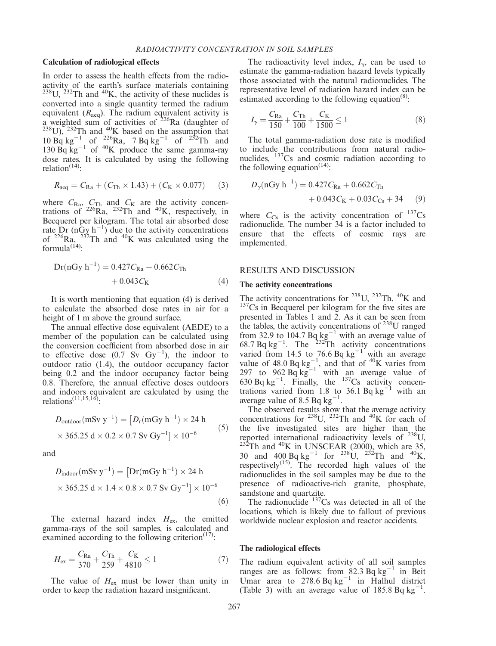### <span id="page-2-0"></span>Calculation of radiological effects

In order to assess the health effects from the radioactivity of the earth's surface materials containing  $^{238}$ U,  $^{232}$ Th and  $^{40}$ K, the activity of these nuclides is converted into a single quantity termed the radium equivalent ( $R_{\text{aeg}}$ ). The radium equivalent activity is a weighted sum of activities of  $^{226}$ Ra (daughter of  $\frac{238}{238}$ U),  $\frac{232}{10}$  Th and  $\frac{40}{10}$ K based on the assumption that  $10 \text{ Bq kg}^{-1}$  of  $^{226}\text{Ra}$ , 7 Bq kg<sup>-1</sup> of  $^{232}\text{Th}$  and 130  $\text{Bq}$  kg<sup>-1</sup> of <sup>40</sup>K produce the same gamma-ray dose rates. It is calculated by using the following relation $(14)$  $(14)$ :

$$
R_{\text{aeq}} = C_{\text{Ra}} + (C_{\text{Th}} \times 1.43) + (C_{\text{K}} \times 0.077) \tag{3}
$$

where  $C_{\text{Ra}}$ ,  $C_{\text{Th}}$  and  $C_{\text{K}}$  are the activity concentrations of  $^{226}\text{Ra}$ ,  $^{232}\text{Th}$  and  $^{40}\text{K}$ , respectively, in Becquerel per kilogram. The total air absorbed dose rate  $Dr (nGy h^{-1})$  due to the activity concentrations of  $^{226}Ra$ ,  $^{232}Th$  and  $^{40}K$  was calculated using the formula $^{(\vec{14})}$ .

$$
Dr(nGy h^{-1}) = 0.427C_{Ra} + 0.662C_{Th}
$$
  
+ 0.043C<sub>K</sub> (4)

It is worth mentioning that equation (4) is derived to calculate the absorbed dose rates in air for a height of 1 m above the ground surface.

The annual effective dose equivalent (AEDE) to a member of the population can be calculated using the conversion coefficient from absorbed dose in air to effective dose  $(0.7 \text{ Sv } \text{Gy}^{-1})$ , the indoor to outdoor ratio (1.4), the outdoor occupancy factor being 0.2 and the indoor occupancy factor being 0.8. Therefore, the annual effective doses outdoors and indoors equivalent are calculated by using the relations<sup> $(11,15,16)$  $(11,15,16)$ </sup>:

$$
D_{\text{outdoor}}(\text{mSv y}^{-1}) = [D_{\text{r}}(\text{mGy h}^{-1}) \times 24 \text{ h} \times 365.25 \text{ d} \times 0.2 \times 0.7 \text{ Sv Gy}^{-1}] \times 10^{-6}
$$
 (5)

and

$$
D_{\text{indoor}}(\text{mSv y}^{-1}) = [\text{Dr}(\text{mGy h}^{-1}) \times 24 \text{ h} \times 365.25 \text{ d} \times 1.4 \times 0.8 \times 0.7 \text{ Sv Gy}^{-1}] \times 10^{-6}
$$
\n(6)

The external hazard index  $H_{\text{ex}}$ , the emitted gamma-rays of the soil samples, is calculated and examined according to the following criterion $(17)$  $(17)$  $(17)$ :

$$
H_{\rm ex} = \frac{C_{\rm Ra}}{370} + \frac{C_{\rm Th}}{259} + \frac{C_{\rm K}}{4810} \le 1\tag{7}
$$

The value of  $H_{ex}$  must be lower than unity in order to keep the radiation hazard insignificant.

The radioactivity level index,  $I_{\gamma}$ , can be used to estimate the gamma-radiation hazard levels typically those associated with the natural radionuclides. The representative level of radiation hazard index can be estimated according to the following equation $<sup>(8)</sup>$  $<sup>(8)</sup>$  $<sup>(8)</sup>$ :</sup>

$$
I_{\gamma} = \frac{C_{\text{Ra}}}{150} + \frac{C_{\text{Th}}}{100} + \frac{C_{\text{K}}}{1500} \le 1
$$
 (8)

The total gamma-radiation dose rate is modified to include the contributions from natural radionuclides, <sup>137</sup>Cs and cosmic radiation according to the following equation<sup> $(14)$  $(14)$ </sup>:

$$
D_{\gamma}(\text{nGy h}^{-1}) = 0.427 C_{\text{Ra}} + 0.662 C_{\text{Th}} + 0.043 C_{\text{K}} + 0.03 C_{\text{Cs}} + 34
$$
 (9)

where  $C_{\text{Cs}}$  is the activity concentration of  $^{137}\text{Cs}$ radionuclide. The number 34 is a factor included to ensure that the effects of cosmic rays are implemented.

#### RESULTS AND DISCUSSION

#### The activity concentrations

The activity concentrations for <sup>238</sup>U, <sup>232</sup>Th, <sup>40</sup>K and <sup>137</sup>Cs in Becquerel per kilogram for the five sites are presented in Tables 1 and 2. As it can be seen from the tables, the activity concentrations of  $^{238}$ U ranged from 32.9 to 104.7 Bq  $kg^{-1}$  with an average value of 68.7 Bq kg<sup>-1</sup>. The <sup>232</sup>Th activity concentrations varied from 14.5 to 76.6 Bq  $kg^{-1}$  with an average value of 48.0 Bq  $kg^{-1}$ , and that of <sup>40</sup>K varies from 297 to 962  $\text{Bq kg}^{-1}$  with an average value of 630 Bq kg<sup>-1</sup>. Finally, the <sup>137</sup>Cs activity concentrations varied from 1.8 to  $36.1$  Bq kg<sup>-1</sup> with an average value of 8.5 Bq  $kg^{-1}$ .

The observed results show that the average activity concentrations for  $^{238}$ U,  $^{232}$ Th and <sup>40</sup>K for each of the five investigated sites are higher than the reported international radioactivity levels of  $^{238}$ U, reported international radioactivity levels of  $^{238}$ U,  $^{232}$ Th and  $^{40}$ K in UNSCEAR (2000), which are 35, 30 and 400 Bq kg<sup>-1</sup> for <sup>238</sup>U, <sup>232</sup>Th and <sup>40</sup>K, respectively $^{(15)}$  $^{(15)}$  $^{(15)}$ . The recorded high values of the radionuclides in the soil samples may be due to the presence of radioactive-rich granite, phosphate, sandstone and quartzite.

The radionuclide  $137Cs$  was detected in all of the locations, which is likely due to fallout of previous worldwide nuclear explosion and reactor accidents.

#### The radiological effects

The radium equivalent activity of all soil samples ranges are as follows: from  $82.3$  Bq kg<sup>-1</sup> in Beit Umar area to 278.6 Bq  $kg^{-1}$  in Halhul district (Table 3) with an average value of  $185.8 \text{ Bq kg}^{-1}$ .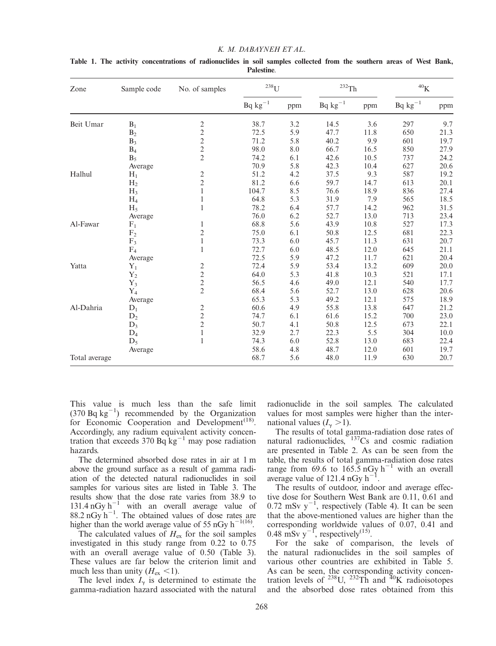| Zone          | Sample code    | No. of samples                             | $238$ U      |     | $232$ Th     |      | $^{40}{\rm K}$ |      |
|---------------|----------------|--------------------------------------------|--------------|-----|--------------|------|----------------|------|
|               |                |                                            | $Bq kg^{-1}$ | ppm | $Bq kg^{-1}$ | ppm  | $Bq kg^{-1}$   | ppm  |
| Beit Umar     | $B_1$          | $\overline{\mathbf{c}}$                    | 38.7         | 3.2 | 14.5         | 3.6  | 297            | 9.7  |
|               | $B_2$          | $\overline{c}$                             | 72.5         | 5.9 | 47.7         | 11.8 | 650            | 21.3 |
|               | $B_3$          | $\overline{c}$                             | 71.2         | 5.8 | 40.2         | 9.9  | 601            | 19.7 |
|               | $B_4$          | $\frac{2}{2}$                              | 98.0         | 8.0 | 66.7         | 16.5 | 850            | 27.9 |
|               | $B_5$          |                                            | 74.2         | 6.1 | 42.6         | 10.5 | 737            | 24.2 |
|               | Average        |                                            | 70.9         | 5.8 | 42.3         | 10.4 | 627            | 20.6 |
| Halhul        | $H_1$          | $\frac{2}{2}$                              | 51.2         | 4.2 | 37.5         | 9.3  | 587            | 19.2 |
|               | H <sub>2</sub> |                                            | 81.2         | 6.6 | 59.7         | 14.7 | 613            | 20.1 |
|               | H <sub>3</sub> | $\mathbf{1}$                               | 104.7        | 8.5 | 76.6         | 18.9 | 836            | 27.4 |
|               | $H_4$          | 1                                          | 64.8         | 5.3 | 31.9         | 7.9  | 565            | 18.5 |
|               | $H_5$          | 1                                          | 78.2         | 6.4 | 57.7         | 14.2 | 962            | 31.5 |
|               | Average        |                                            | 76.0         | 6.2 | 52.7         | 13.0 | 713            | 23.4 |
| Al-Fawar      | $F_1$          | 1                                          | 68.8         | 5.6 | 43.9         | 10.8 | 527            | 17.3 |
|               | F <sub>2</sub> | $\overline{c}$                             | 75.0         | 6.1 | 50.8         | 12.5 | 681            | 22.3 |
|               | $F_3$          | $\mathbf{1}$                               | 73.3         | 6.0 | 45.7         | 11.3 | 631            | 20.7 |
|               | $F_4$          | $\mathbf{1}$                               | 72.7         | 6.0 | 48.5         | 12.0 | 645            | 21.1 |
|               | Average        |                                            | 72.5         | 5.9 | 47.2         | 11.7 | 621            | 20.4 |
| Yatta         | $Y_1$          | 2                                          | 72.4         | 5.9 | 53.4         | 13.2 | 609            | 20.0 |
|               | ${\rm Y}_2$    |                                            | 64.0         | 5.3 | 41.8         | 10.3 | 521            | 17.1 |
|               | $Y_3$          | $\begin{array}{c} 2 \\ 2 \\ 2 \end{array}$ | 56.5         | 4.6 | 49.0         | 12.1 | 540            | 17.7 |
|               | ${\rm Y}_4$    |                                            | 68.4         | 5.6 | 52.7         | 13.0 | 628            | 20.6 |
|               | Average        |                                            | 65.3         | 5.3 | 49.2         | 12.1 | 575            | 18.9 |
| Al-Dahria     | $D_1$          | $\overline{c}$                             | 60.6         | 4.9 | 55.8         | 13.8 | 647            | 21.2 |
|               | $D_2$          | $\overline{c}$                             | 74.7         | 6.1 | 61.6         | 15.2 | 700            | 23.0 |
|               | $D_3$          | $\overline{2}$                             | 50.7         | 4.1 | 50.8         | 12.5 | 673            | 22.1 |
|               | $D_4$          | $\mathbf{1}$                               | 32.9         | 2.7 | 22.3         | 5.5  | 304            | 10.0 |
|               | $D_5$          | $\mathbf{1}$                               | 74.3         | 6.0 | 52.8         | 13.0 | 683            | 22.4 |
|               | Average        |                                            | 58.6         | 4.8 | 48.7         | 12.0 | 601            | 19.7 |
| Total average |                |                                            | 68.7         | 5.6 | 48.0         | 11.9 | 630            | 20.7 |

Table 1. The activity concentrations of radionuclides in soil samples collected from the southern areas of West Bank, Palestine.

This value is much less than the safe limit  $(370 Bq kg<sup>-1</sup>)$  recommended by the Organization for Economic Cooperation and Development<sup> $(18)$  $(18)$ </sup>. Accordingly, any radium equivalent activity concentration that exceeds 370 Bq  $kg^{-1}$  may pose radiation hazards.

The determined absorbed dose rates in air at 1 m above the ground surface as a result of gamma radiation of the detected natural radionuclides in soil samples for various sites are listed in Table [3](#page-2-0). The results show that the dose rate varies from 38.9 to 131.4 nGy  $h^{-1}$  with an overall average value of  $88.2 \text{ nGy h}^{-1}$ . The obtained values of dose rates are higher than the world average value of 55 nGy  $h^{-1(16)}$  $h^{-1(16)}$  $h^{-1(16)}$ .

The calculated values of  $H_{\text{ex}}$  for the soil samples investigated in this study range from 0.22 to 0.75 with an overall average value of 0.50 (Table [3](#page-2-0)). These values are far below the criterion limit and much less than unity  $(H_{\rm ex} < 1)$ .

The level index  $I_{\gamma}$  is determined to estimate the gamma-radiation hazard associated with the natural radionuclide in the soil samples. The calculated values for most samples were higher than the international values  $(I_{\gamma} > 1)$ .

The results of total gamma-radiation dose rates of natural radionuclides,  $137Cs$  and cosmic radiation are presented in Table [2.](#page-2-0) As can be seen from the table, the results of total gamma-radiation dose rates range from 69.6 to  $165.5 \text{ nGy h}^{-1}$  with an overall average value of 121.4  $nGy h^{-1}$ .

The results of outdoor, indoor and average effective dose for Southern West Bank are 0.11, 0.61 and  $0.72 \text{ mSv y}^{-1}$ , respectively (Table 4). It can be seen that the above-mentioned values are higher than the corresponding worldwide values of 0.07, 0.41 and 0.48 mSv  $y^{-1}$ , respectively<sup>([15\)](#page-6-0)</sup>.

For the sake of comparison, the levels of the natural radionuclides in the soil samples of various other countries are exhibited in Table [5](#page-4-0). As can be seen, the corresponding activity concentration levels of  $^{238}$ U,  $^{232}$ Th and  $^{40}$ K radioisotopes and the absorbed dose rates obtained from this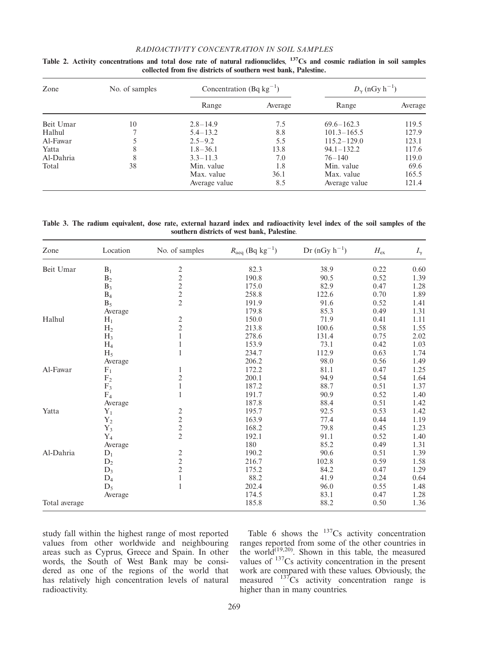# RADIOACTIVITY CONCENTRATION IN SOIL SAMPLES

| Zone      | No. of samples | Concentration (Bq $kg^{-1}$ ) |         | $D_{\gamma}$ (nGy h <sup>-1</sup> ) |         |  |
|-----------|----------------|-------------------------------|---------|-------------------------------------|---------|--|
|           |                | Range                         | Average | Range                               | Average |  |
| Beit Umar | 10             | $2.8 - 14.9$                  | 7.5     | $69.6 - 162.3$                      | 119.5   |  |
| Halhul    |                | $5.4 - 13.2$                  | 8.8     | $101.3 - 165.5$                     | 127.9   |  |
| Al-Fawar  |                | $2.5 - 9.2$                   | 5.5     | $115.2 - 129.0$                     | 123.1   |  |
| Yatta     | 8              | $1.8 - 36.1$                  | 13.8    | $94.1 - 132.2$                      | 117.6   |  |
| Al-Dahria | 8              | $3.3 - 11.3$                  | 7.0     | $76 - 140$                          | 119.0   |  |
| Total     | 38             | Min. value                    | 1.8     | Min. value                          | 69.6    |  |
|           |                | Max. value                    | 36.1    | Max. value                          | 165.5   |  |
|           |                | Average value                 | 8.5     | Average value                       | 121.4   |  |

<span id="page-4-0"></span>Table 2. Activity concentrations and total dose rate of natural radionuclides,  $137Cs$  and cosmic radiation in soil samples collected from five districts of southern west bank, Palestine.

Table 3. The radium equivalent, dose rate, external hazard index and radioactivity level index of the soil samples of the southern districts of west bank, Palestine.

| Zone          | Location       | No. of samples | $R_{\text{aeq}}$ (Bq kg <sup>-1</sup> ) | $Dr (nGy h^{-1})$ | $H_{\rm ex}$ | $I_{\gamma}$ |
|---------------|----------------|----------------|-----------------------------------------|-------------------|--------------|--------------|
| Beit Umar     | $B_1$          |                | 82.3                                    | 38.9              | 0.22         | 0.60         |
|               | B <sub>2</sub> | $\frac{2}{2}$  | 190.8                                   | 90.5              | 0.52         | 1.39         |
|               | $B_3$          | $\overline{c}$ | 175.0                                   | 82.9              | 0.47         | 1.28         |
|               | $B_4$          | $\overline{c}$ | 258.8                                   | 122.6             | 0.70         | 1.89         |
|               | $B_5$          | $\overline{2}$ | 191.9                                   | 91.6              | 0.52         | 1.41         |
|               | Average        |                | 179.8                                   | 85.3              | 0.49         | 1.31         |
| Halhul        | $H_1$          | 2              | 150.0                                   | 71.9              | 0.41         | 1.11         |
|               | H <sub>2</sub> | $\overline{c}$ | 213.8                                   | 100.6             | 0.58         | 1.55         |
|               | H <sub>3</sub> |                | 278.6                                   | 131.4             | 0.75         | 2.02         |
|               | $H_4$          | 1              | 153.9                                   | 73.1              | 0.42         | 1.03         |
|               | $H_5$          |                | 234.7                                   | 112.9             | 0.63         | 1.74         |
|               | Average        |                | 206.2                                   | 98.0              | 0.56         | 1.49         |
| Al-Fawar      | $F_1$          | 1              | 172.2                                   | 81.1              | 0.47         | 1.25         |
|               | F <sub>2</sub> | $\overline{c}$ | 200.1                                   | 94.9              | 0.54         | 1.64         |
|               | $F_3$          | $\mathbf{1}$   | 187.2                                   | 88.7              | 0.51         | 1.37         |
|               | $F_4$          | 1              | 191.7                                   | 90.9              | 0.52         | 1.40         |
|               | Average        |                | 187.8                                   | 88.4              | 0.51         | 1.42         |
| Yatta         | $Y_1$          | $\overline{c}$ | 195.7                                   | 92.5              | 0.53         | 1.42         |
|               | $Y_2$          | $\overline{c}$ | 163.9                                   | 77.4              | 0.44         | 1.19         |
|               | $Y_3$          | $\overline{c}$ | 168.2                                   | 79.8              | 0.45         | 1.23         |
|               | ${\rm Y}_4$    | $\overline{2}$ | 192.1                                   | 91.1              | 0.52         | 1.40         |
|               | Average        |                | 180                                     | 85.2              | 0.49         | 1.31         |
| Al-Dahria     | $D_1$          | $\overline{c}$ | 190.2                                   | 90.6              | 0.51         | 1.39         |
|               | $D_2$          | $\overline{c}$ | 216.7                                   | 102.8             | 0.59         | 1.58         |
|               | $D_3$          | $\overline{c}$ | 175.2                                   | 84.2              | 0.47         | 1.29         |
|               | $D_4$          | $\mathbf{1}$   | 88.2                                    | 41.9              | 0.24         | 0.64         |
|               | $D_5$          | 1              | 202.4                                   | 96.0              | 0.55         | 1.48         |
|               | Average        |                | 174.5                                   | 83.1              | 0.47         | 1.28         |
| Total average |                |                | 185.8                                   | 88.2              | 0.50         | 1.36         |

study fall within the highest range of most reported values from other worldwide and neighbouring areas such as Cyprus, Greece and Spain. In other words, the South of West Bank may be considered as one of the regions of the world that has relatively high concentration levels of natural radioactivity.

Table 6 shows the  $137Cs$  activity concentration ranges reported from some of the other countries in the world<sup>([19,20](#page-6-0))</sup>. Shown in this table, the measured values of  $137$ Cs activity concentration in the present work are compared with these values. Obviously, the measured  $137Cs$  activity concentration range is higher than in many countries.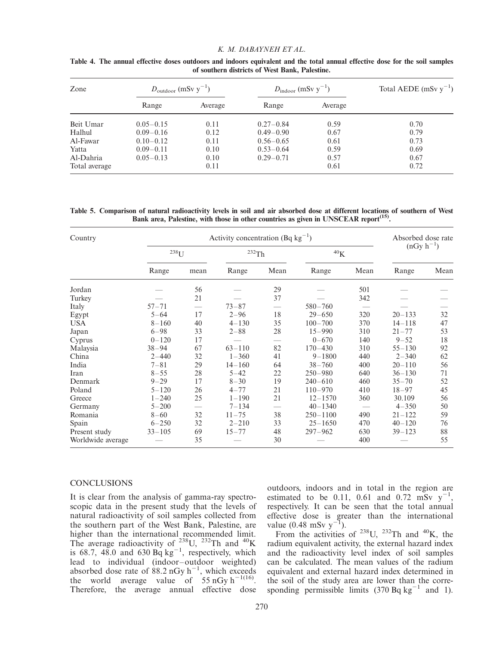## K. M. DABAYNEH ET AL.

| Zone          | $D_{\text{outdoor}}$ (mSv y <sup>-1</sup> ) |         | $D_{\text{indoor}}$ (mSv y <sup>-1</sup> ) |         | Total AEDE (mSv $y^{-1}$ ) |  |
|---------------|---------------------------------------------|---------|--------------------------------------------|---------|----------------------------|--|
|               | Range                                       | Average | Range                                      | Average |                            |  |
| Beit Umar     | $0.05 - 0.15$                               | 0.11    | $0.27 - 0.84$                              | 0.59    | 0.70                       |  |
| Halhul        | $0.09 - 0.16$                               | 0.12    | $0.49 - 0.90$                              | 0.67    | 0.79                       |  |
| Al-Fawar      | $0.10 - 0.12$                               | 0.11    | $0.56 - 0.65$                              | 0.61    | 0.73                       |  |
| Yatta         | $0.09 - 0.11$                               | 0.10    | $0.53 - 0.64$                              | 0.59    | 0.69                       |  |
| Al-Dahria     | $0.05 - 0.13$                               | 0.10    | $0.29 - 0.71$                              | 0.57    | 0.67                       |  |
| Total average |                                             | 0.11    |                                            | 0.61    | 0.72                       |  |

Table 4. The annual effective doses outdoors and indoors equivalent and the total annual effective dose for the soil samples of southern districts of West Bank, Palestine.

Table 5. Comparison of natural radioactivity levels in soil and air absorbed dose at different locations of southern of West Bank area, Palestine, with those in other countries as given in UNSCEAR report<sup>(15)</sup>.

| Country           | Activity concentration (Bq $kg^{-1}$ ) |      |                     |      |                     |      | Absorbed dose rate |      |
|-------------------|----------------------------------------|------|---------------------|------|---------------------|------|--------------------|------|
|                   | $^{238}\mathrm{U}$                     |      | $^{232}\mathrm{Th}$ |      | ${}^{40}\mathrm{K}$ |      | $(nGy h^{-1})$     |      |
|                   | Range                                  | mean | Range               | Mean | Range               | Mean | Range              | Mean |
| Jordan            |                                        | 56   |                     | 29   |                     | 501  |                    |      |
| Turkey            |                                        | 21   |                     | 37   |                     | 342  |                    |      |
| Italy             | $57 - 71$                              |      | $73 - 87$           |      | $580 - 760$         |      |                    |      |
| Egypt             | $5 - 64$                               | 17   | $2 - 96$            | 18   | $29 - 650$          | 320  | $20 - 133$         | 32   |
| <b>USA</b>        | $8 - 160$                              | 40   | $4 - 130$           | 35   | $100 - 700$         | 370  | $14 - 118$         | 47   |
| Japan             | $6 - 98$                               | 33   | $2 - 88$            | 28   | $15 - 990$          | 310  | $21 - 77$          | 53   |
| Cyprus            | $0 - 120$                              | 17   |                     |      | $0 - 670$           | 140  | $9 - 52$           | 18   |
| Malaysia          | $38 - 94$                              | 67   | $63 - 110$          | 82   | $170 - 430$         | 310  | $55 - 130$         | 92   |
| China             | $2 - 440$                              | 32   | $1 - 360$           | 41   | $9 - 1800$          | 440  | $2 - 340$          | 62   |
| India             | $7 - 81$                               | 29   | $14 - 160$          | 64   | $38 - 760$          | 400  | $20 - 110$         | 56   |
| Iran              | $8 - 55$                               | 28   | $5 - 42$            | 22   | $250 - 980$         | 640  | $36 - 130$         | 71   |
| Denmark           | $9 - 29$                               | 17   | $8 - 30$            | 19   | $240 - 610$         | 460  | $35 - 70$          | 52   |
| Poland            | $5 - 120$                              | 26   | $4 - 77$            | 21   | $110 - 970$         | 410  | $18 - 97$          | 45   |
| Greece            | $1 - 240$                              | 25   | $1 - 190$           | 21   | $12 - 1570$         | 360  | 30.109             | 56   |
| Germany           | $5 - 200$                              |      | $7 - 134$           |      | $40 - 1340$         |      | $4 - 350$          | 50   |
| Romania           | $8 - 60$                               | 32   | $11 - 75$           | 38   | $250 - 1100$        | 490  | $21 - 122$         | 59   |
| Spain             | $6 - 250$                              | 32   | $2 - 210$           | 33   | $25 - 1650$         | 470  | $40 - 120$         | 76   |
| Present study     | $33 - 105$                             | 69   | $15 - 77$           | 48   | $297 - 962$         | 630  | $39 - 123$         | 88   |
| Worldwide average |                                        | 35   |                     | 30   |                     | 400  |                    | 55   |

# **CONCLUSIONS**

It is clear from the analysis of gamma-ray spectroscopic data in the present study that the levels of natural radioactivity of soil samples collected from the southern part of the West Bank, Palestine, are higher than the international recommended limit.<br>The average radioactivity of  $^{238}$ U,  $^{232}$ Th and  $^{40}$ K is 68.7, 48.0 and 630 Bq  $kg^{-1}$ , respectively, which lead to individual (indoor– outdoor weighted) absorbed dose rate of  $88.2 \text{ nGy h}^{-1}$ , which exceeds the world average value of  $55 \text{ nGy h}^{-1(16)}$  $55 \text{ nGy h}^{-1(16)}$  $55 \text{ nGy h}^{-1(16)}$ . Therefore, the average annual effective dose outdoors, indoors and in total in the region are estimated to be 0.11, 0.61 and 0.72 mSv  $y^{-1}$ , respectively. It can be seen that the total annual effective dose is greater than the international value (0.48 mSv  $y^{-1}$ ).

From the activities of  $^{238}$ U,  $^{232}$ Th and  $^{40}$ K, the radium equivalent activity, the external hazard index and the radioactivity level index of soil samples can be calculated. The mean values of the radium equivalent and external hazard index determined in the soil of the study area are lower than the corresponding permissible limits  $(370 \text{ Ba kg}^{-1} \text{ and } 1)$ .